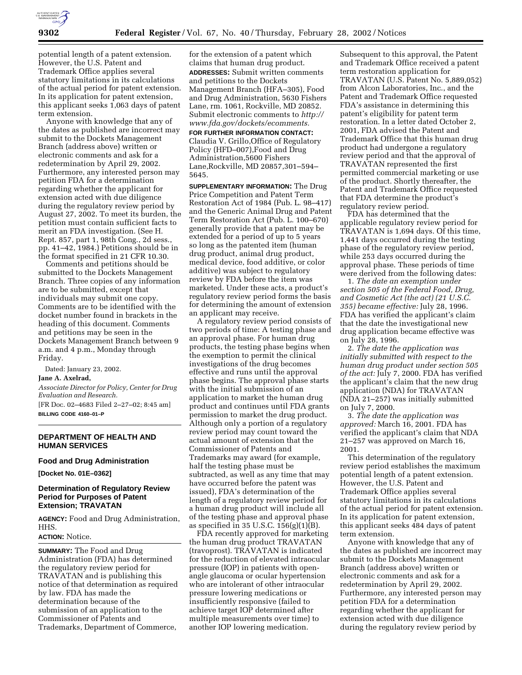

potential length of a patent extension. However, the U.S. Patent and Trademark Office applies several statutory limitations in its calculations of the actual period for patent extension. In its application for patent extension, this applicant seeks 1,063 days of patent term extension.

Anyone with knowledge that any of the dates as published are incorrect may submit to the Dockets Management Branch (address above) written or electronic comments and ask for a redetermination by April 29, 2002. Furthermore, any interested person may petition FDA for a determination regarding whether the applicant for extension acted with due diligence during the regulatory review period by August 27, 2002. To meet its burden, the petition must contain sufficient facts to merit an FDA investigation. (See H. Rept. 857, part 1, 98th Cong., 2d sess., pp. 41–42, 1984.) Petitions should be in the format specified in 21 CFR 10.30.

Comments and petitions should be submitted to the Dockets Management Branch. Three copies of any information are to be submitted, except that individuals may submit one copy. Comments are to be identified with the docket number found in brackets in the heading of this document. Comments and petitions may be seen in the Dockets Management Branch between 9 a.m. and 4 p.m., Monday through Friday.

Dated: January 23, 2002.

# **Jane A. Axelrad,**

*Associate Director for Policy, Center for Drug Evaluation and Research.*

[FR Doc. 02–4683 Filed 2–27–02; 8:45 am] **BILLING CODE 4160–01–P**

# **DEPARTMENT OF HEALTH AND HUMAN SERVICES**

#### **Food and Drug Administration**

**[Docket No. 01E–0362]**

## **Determination of Regulatory Review Period for Purposes of Patent Extension; TRAVATAN**

**AGENCY:** Food and Drug Administration, HHS.

#### **ACTION:** Notice.

**SUMMARY:** The Food and Drug Administration (FDA) has determined the regulatory review period for TRAVATAN and is publishing this notice of that determination as required by law. FDA has made the determination because of the submission of an application to the Commissioner of Patents and Trademarks, Department of Commerce,

for the extension of a patent which claims that human drug product. **ADDRESSES:** Submit written comments and petitions to the Dockets Management Branch (HFA–305), Food and Drug Administration, 5630 Fishers Lane, rm. 1061, Rockville, MD 20852. Submit electronic comments to *http:// www.fda.gov/dockets/ecomments.*

**FOR FURTHER INFORMATION CONTACT:** Claudia V. Grillo,Office of Regulatory Policy (HFD–007),Food and Drug Administration,5600 Fishers Lane,Rockville, MD 20857,301–594– 5645.

**SUPPLEMENTARY INFORMATION:** The Drug Price Competition and Patent Term Restoration Act of 1984 (Pub. L. 98–417) and the Generic Animal Drug and Patent Term Restoration Act (Pub. L. 100–670) generally provide that a patent may be extended for a period of up to 5 years so long as the patented item (human drug product, animal drug product, medical device, food additive, or color additive) was subject to regulatory review by FDA before the item was marketed. Under these acts, a product's regulatory review period forms the basis for determining the amount of extension an applicant may receive.

A regulatory review period consists of two periods of time: A testing phase and an approval phase. For human drug products, the testing phase begins when the exemption to permit the clinical investigations of the drug becomes effective and runs until the approval phase begins. The approval phase starts with the initial submission of an application to market the human drug product and continues until FDA grants permission to market the drug product. Although only a portion of a regulatory review period may count toward the actual amount of extension that the Commissioner of Patents and Trademarks may award (for example, half the testing phase must be subtracted, as well as any time that may have occurred before the patent was issued), FDA's determination of the length of a regulatory review period for a human drug product will include all of the testing phase and approval phase as specified in 35 U.S.C. 156(g)(1)(B).

FDA recently approved for marketing the human drug product TRAVATAN (travoprost). TRAVATAN is indicated for the reduction of elevated intraocular pressure (IOP) in patients with openangle glaucoma or ocular hypertension who are intolerant of other intraocular pressure lowering medications or insufficiently responsive (failed to achieve target IOP determined after multiple measurements over time) to another IOP lowering medication.

Subsequent to this approval, the Patent and Trademark Office received a patent term restoration application for TRAVATAN (U.S. Patent No. 5,889,052) from Alcon Laboratories, Inc., and the Patent and Trademark Office requested FDA's assistance in determining this patent's eligibility for patent term restoration. In a letter dated October 2, 2001, FDA advised the Patent and Trademark Office that this human drug product had undergone a regulatory review period and that the approval of TRAVATAN represented the first permitted commercial marketing or use of the product. Shortly thereafter, the Patent and Trademark Office requested that FDA determine the product's regulatory review period.

FDA has determined that the applicable regulatory review period for TRAVATAN is 1,694 days. Of this time, 1,441 days occurred during the testing phase of the regulatory review period, while 253 days occurred during the approval phase. These periods of time were derived from the following dates:

1. *The date an exemption under section 505 of the Federal Food, Drug, and Cosmetic Act (the act) (21 U.S.C. 355) became effective:* July 28, 1996. FDA has verified the applicant's claim that the date the investigational new drug application became effective was on July 28, 1996.

2. *The date the application was initially submitted with respect to the human drug product under section 505 of the act:* July 7, 2000. FDA has verified the applicant's claim that the new drug application (NDA) for TRAVATAN (NDA 21–257) was initially submitted on July 7, 2000.

3. *The date the application was approved:* March 16, 2001. FDA has verified the applicant's claim that NDA 21–257 was approved on March 16, 2001.

This determination of the regulatory review period establishes the maximum potential length of a patent extension. However, the U.S. Patent and Trademark Office applies several statutory limitations in its calculations of the actual period for patent extension. In its application for patent extension, this applicant seeks 484 days of patent term extension.

Anyone with knowledge that any of the dates as published are incorrect may submit to the Dockets Management Branch (address above) written or electronic comments and ask for a redetermination by April 29, 2002. Furthermore, any interested person may petition FDA for a determination regarding whether the applicant for extension acted with due diligence during the regulatory review period by